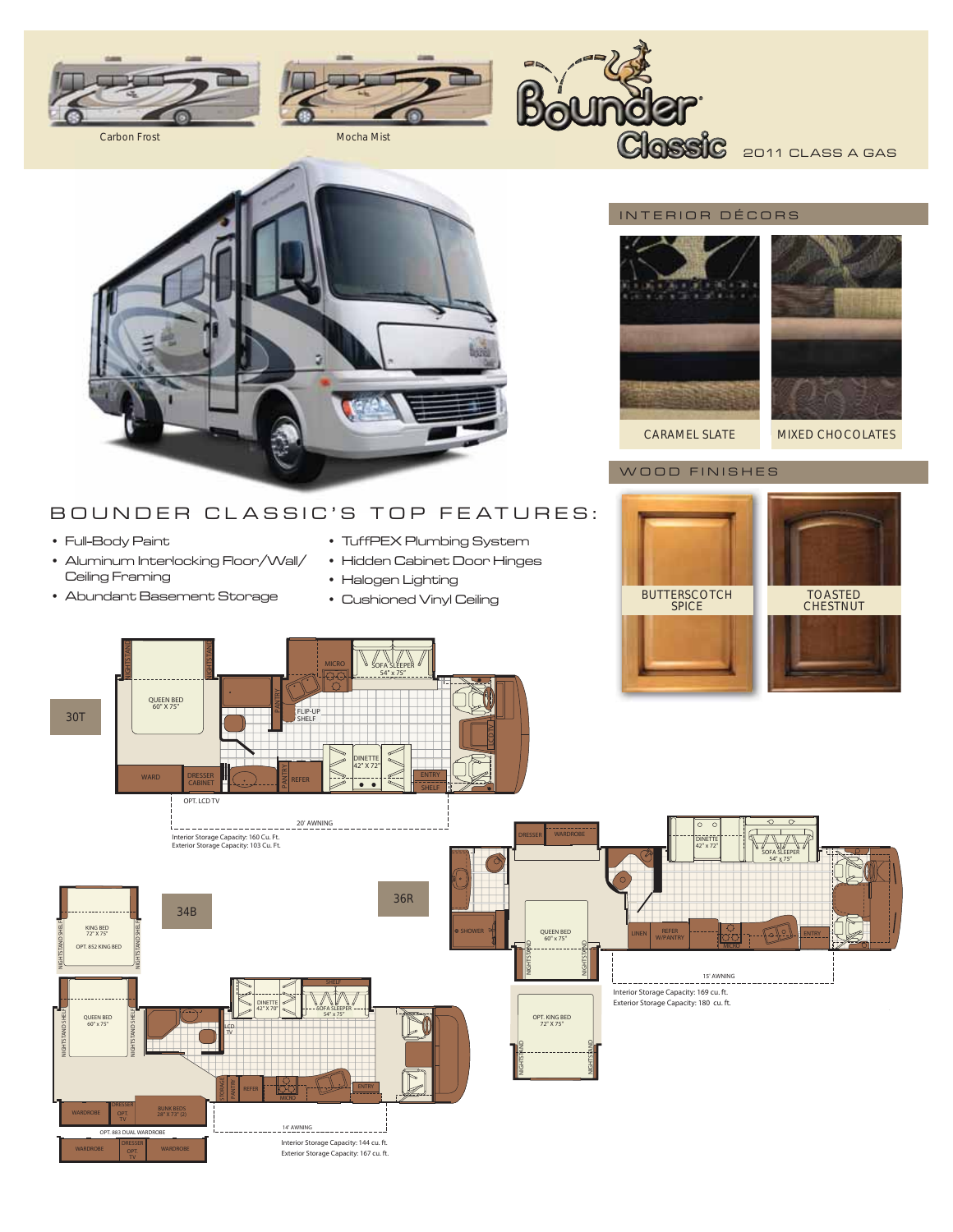



Boy **IOBIT** Classic 2011 CLASS A GAS



# BOUNDER CLASSIC'S TOP FEATURES:

- Full-Body Paint
- Aluminum Interlocking Floor/Wall/ Ceiling Framing
- Abundant Basement Storage
- TuffPEX Plumbing System
- Hidden Cabinet Door Hinges
- Halogen Lighting
- Cushioned Vinyl Ceiling

## INTERIOR DÉCORS



CARAMEL SLATE MIXED CHOCOLATES

## WOOD FINISHES

BUTTERSCOTCH SPICE TOASTED CHESTNUT